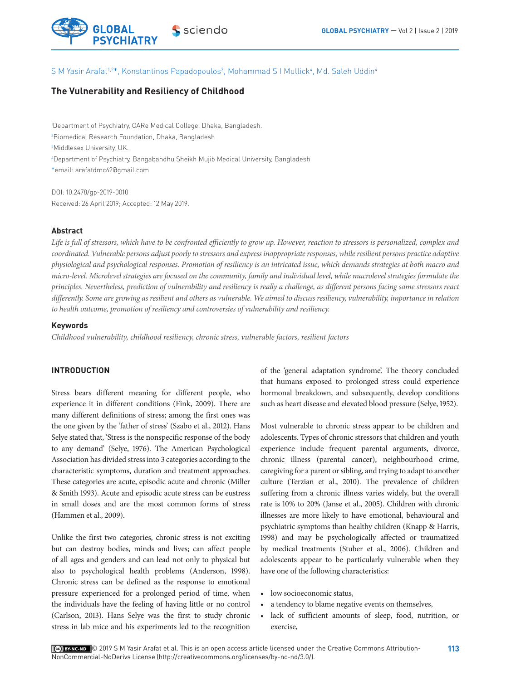

S M Yasir Arafat<sup>1,2\*</sup>, Konstantinos Papadopoulos<sup>3</sup>, Mohammad S I Mullick<sup>4</sup>, Md. Saleh Uddin<sup>4</sup>

# **The Vulnerability and Resiliency of Childhood**

 Department of Psychiatry, CARe Medical College, Dhaka, Bangladesh. Biomedical Research Foundation, Dhaka, Bangladesh Middlesex University, UK. Department of Psychiatry, Bangabandhu Sheikh Mujib Medical University, Bangladesh \*email: arafatdmc62@gmail.com

DOI: 10.2478/gp-2019-0010 Received: 26 April 2019; Accepted: 12 May 2019.

## **Abstract**

*Life is full of stressors, which have to be confronted efficiently to grow up. However, reaction to stressors is personalized, complex and coordinated. Vulnerable persons adjust poorly to stressors and express inappropriate responses, while resilient persons practice adaptive physiological and psychological responses. Promotion of resiliency is an intricated issue, which demands strategies at both macro and micro-level. Microlevel strategies are focused on the community, family and individual level, while macrolevel strategies formulate the principles. Nevertheless, prediction of vulnerability and resiliency is really a challenge, as different persons facing same stressors react differently. Some are growing as resilient and others as vulnerable. We aimed to discuss resiliency, vulnerability, importance in relation to health outcome, promotion of resiliency and controversies of vulnerability and resiliency.*

## **Keywords**

*Childhood vulnerability, childhood resiliency, chronic stress, vulnerable factors, resilient factors*

## **INTRODUCTION**

Stress bears different meaning for different people, who experience it in different conditions (Fink, 2009). There are many different definitions of stress; among the first ones was the one given by the 'father of stress' (Szabo et al., 2012). Hans Selye stated that, 'Stress is the nonspecific response of the body to any demand' (Selye, 1976). The American Psychological Association has divided stress into 3 categories according to the characteristic symptoms, duration and treatment approaches. These categories are acute, episodic acute and chronic (Miller & Smith 1993). Acute and episodic acute stress can be eustress in small doses and are the most common forms of stress (Hammen et al., 2009).

Unlike the first two categories, chronic stress is not exciting but can destroy bodies, minds and lives; can affect people of all ages and genders and can lead not only to physical but also to psychological health problems (Anderson, 1998). Chronic stress can be defined as the response to emotional pressure experienced for a prolonged period of time, when the individuals have the feeling of having little or no control (Carlson, 2013). Hans Selye was the first to study chronic stress in lab mice and his experiments led to the recognition

of the 'general adaptation syndrome'. The theory concluded that humans exposed to prolonged stress could experience hormonal breakdown, and subsequently, develop conditions such as heart disease and elevated blood pressure (Selye, 1952).

Most vulnerable to chronic stress appear to be children and adolescents. Types of chronic stressors that children and youth experience include frequent parental arguments, divorce, chronic illness (parental cancer), neighbourhood crime, caregiving for a parent or sibling, and trying to adapt to another culture (Terzian et al., 2010). The prevalence of children suffering from a chronic illness varies widely, but the overall rate is 10% to 20% (Janse et al., 2005). Children with chronic illnesses are more likely to have emotional, behavioural and psychiatric symptoms than healthy children (Knapp & Harris, 1998) and may be psychologically affected or traumatized by medical treatments (Stuber et al., 2006). Children and adolescents appear to be particularly vulnerable when they have one of the following characteristics:

- low socioeconomic status,
- a tendency to blame negative events on themselves,
- lack of sufficient amounts of sleep, food, nutrition, or exercise,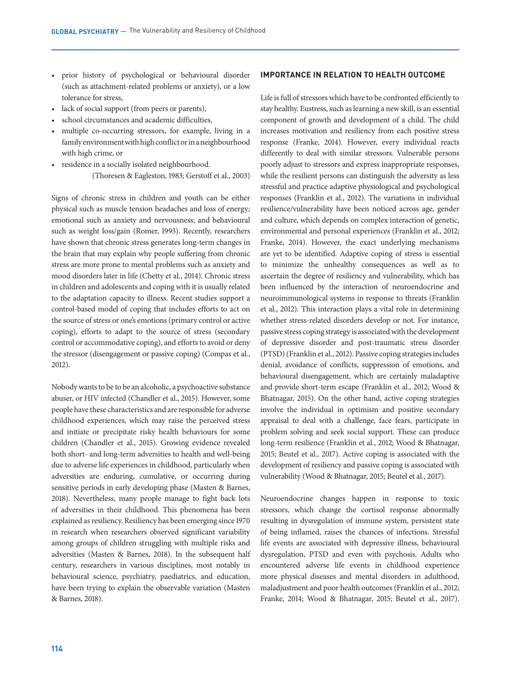- prior history of psychological or behavioural disorder (such as attachment-related problems or anxiety), or a low tolerance for stress,
- lack of social support (from peers or parents),
- school circumstances and academic difficulties,
- multiple co-occurring stressors, for example, living in a family environment with high conflict or in a neighbourhood with high crime, or
- residence in a socially isolated neighbourhood. (Thoresen & Eagleston, 1983; Gerstoff et al., 2003)

Signs of chronic stress in children and youth can be either physical such as muscle tension headaches and loss of energy; emotional such as anxiety and nervousness; and behavioural such as weight loss/gain (Romer, 1993). Recently, researchers have shown that chronic stress generates long-term changes in the brain that may explain why people suffering from chronic stress are more prone to mental problems such as anxiety and mood disorders later in life (Chetty et al., 2014). Chronic stress in children and adolescents and coping with it is usually related to the adaptation capacity to illness. Recent studies support a control-based model of coping that includes efforts to act on the source of stress or one's emotions (primary control or active coping), efforts to adapt to the source of stress (secondary control or accommodative coping), and efforts to avoid or deny the stressor (disengagement or passive coping) (Compas et al., 2012).

Nobody wants to be to be an alcoholic, a psychoactive substance abuser, or HIV infected (Chandler et al., 2015). However, some people have these characteristics and are responsible for adverse childhood experiences, which may raise the perceived stress and initiate or precipitate risky health behaviours for some children (Chandler et al., 2015). Growing evidence revealed both short- and long-term adversities to health and well-being due to adverse life experiences in childhood, particularly when adversities are enduring, cumulative, or occurring during sensitive periods in early developing phase (Masten & Barnes, 2018). Nevertheless, many people manage to fight back lots of adversities in their childhood. This phenomena has been explained as resiliency. Resiliency has been emerging since 1970 in research when researchers observed significant variability among groups of children struggling with multiple risks and adversities (Masten & Barnes, 2018). In the subsequent half century, researchers in various disciplines, most notably in behavioural science, psychiatry, paediatrics, and education, have been trying to explain the observable variation (Masten & Barnes, 2018).

## **IMPORTANCE IN RELATION TO HEALTH OUTCOME**

Life is full of stressors which have to be confronted efficiently to stay healthy. Eustress, such as learning a new skill, is an essential component of growth and development of a child. The child increases motivation and resiliency from each positive stress response (Franke, 2014). However, every individual reacts differently to deal with similar stressors. Vulnerable persons poorly adjust to stressors and express inappropriate responses, while the resilient persons can distinguish the adversity as less stressful and practice adaptive physiological and psychological responses (Franklin et al., 2012). The variations in individual resilience/vulnerability have been noticed across age, gender and culture, which depends on complex interaction of genetic, environmental and personal experiences (Franklin et al., 2012; Franke, 2014). However, the exact underlying mechanisms are yet to be identified. Adaptive coping of stress is essential to minimize the unhealthy consequences as well as to ascertain the degree of resiliency and vulnerability, which has been influenced by the interaction of neuroendocrine and neuroimmunological systems in response to threats (Franklin et al., 2012). This interaction plays a vital role in determining whether stress-related disorders develop or not. For instance, passive stress coping strategy is associated with the development of depressive disorder and post-traumatic stress disorder (PTSD) (Franklin et al., 2012). Passive coping strategies includes denial, avoidance of conflicts, suppression of emotions, and behavioural disengagement, which are certainly maladaptive and provide short-term escape (Franklin et al., 2012; Wood & Bhatnagar, 2015). On the other hand, active coping strategies involve the individual in optimism and positive secondary appraisal to deal with a challenge, face fears, participate in problem solving and seek social support. These can produce long-term resilience (Franklin et al., 2012; Wood & Bhatnagar, 2015; Beutel et al., 2017). Active coping is associated with the development of resiliency and passive coping is associated with vulnerability (Wood & Bhatnagar, 2015; Beutel et al., 2017).

Neuroendocrine changes happen in response to toxic stressors, which change the cortisol response abnormally resulting in dysregulation of immune system, persistent state of being inflamed, raises the chances of infections. Stressful life events are associated with depressive illness, behavioural dysregulation, PTSD and even with psychosis. Adults who encountered adverse life events in childhood experience more physical diseases and mental disorders in adulthood, maladjustment and poor health outcomes (Franklin et al., 2012; Franke, 2014; Wood & Bhatnagar, 2015; Beutel et al., 2017).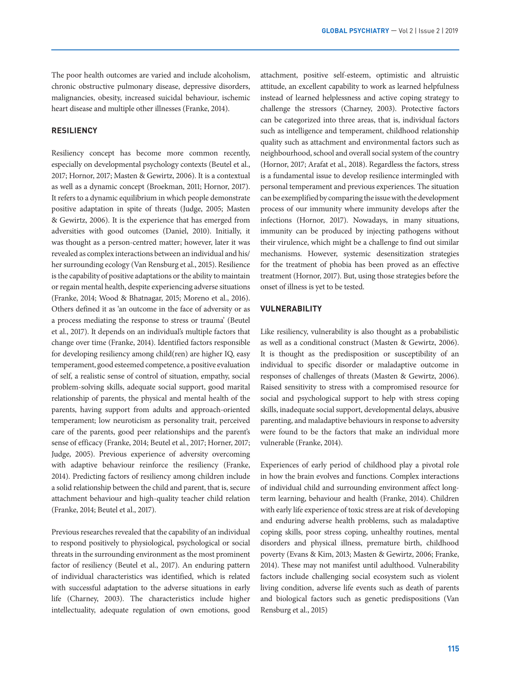The poor health outcomes are varied and include alcoholism, chronic obstructive pulmonary disease, depressive disorders, malignancies, obesity, increased suicidal behaviour, ischemic heart disease and multiple other illnesses (Franke, 2014).

## **RESILIENCY**

Resiliency concept has become more common recently, especially on developmental psychology contexts (Beutel et al., 2017; Hornor, 2017; Masten & Gewirtz, 2006). It is a contextual as well as a dynamic concept (Broekman, 2011; Hornor, 2017). It refers to a dynamic equilibrium in which people demonstrate positive adaptation in spite of threats (Judge, 2005; Masten & Gewirtz, 2006). It is the experience that has emerged from adversities with good outcomes (Daniel, 2010). Initially, it was thought as a person-centred matter; however, later it was revealed as complex interactions between an individual and his/ her surrounding ecology (Van Rensburg et al., 2015). Resilience is the capability of positive adaptations or the ability to maintain or regain mental health, despite experiencing adverse situations (Franke, 2014; Wood & Bhatnagar, 2015; Moreno et al., 2016). Others defined it as 'an outcome in the face of adversity or as a process mediating the response to stress or trauma' (Beutel et al., 2017). It depends on an individual's multiple factors that change over time (Franke, 2014). Identified factors responsible for developing resiliency among child(ren) are higher IQ, easy temperament, good esteemed competence, a positive evaluation of self, a realistic sense of control of situation, empathy, social problem-solving skills, adequate social support, good marital relationship of parents, the physical and mental health of the parents, having support from adults and approach-oriented temperament; low neuroticism as personality trait, perceived care of the parents, good peer relationships and the parent's sense of efficacy (Franke, 2014; Beutel et al., 2017; Horner, 2017; Judge, 2005). Previous experience of adversity overcoming with adaptive behaviour reinforce the resiliency (Franke, 2014). Predicting factors of resiliency among children include a solid relationship between the child and parent, that is, secure attachment behaviour and high-quality teacher child relation (Franke, 2014; Beutel et al., 2017).

Previous researches revealed that the capability of an individual to respond positively to physiological, psychological or social threats in the surrounding environment as the most prominent factor of resiliency (Beutel et al., 2017). An enduring pattern of individual characteristics was identified, which is related with successful adaptation to the adverse situations in early life (Charney, 2003). The characteristics include higher intellectuality, adequate regulation of own emotions, good

attachment, positive self-esteem, optimistic and altruistic attitude, an excellent capability to work as learned helpfulness instead of learned helplessness and active coping strategy to challenge the stressors (Charney, 2003). Protective factors can be categorized into three areas, that is, individual factors such as intelligence and temperament, childhood relationship quality such as attachment and environmental factors such as neighbourhood, school and overall social system of the country (Hornor, 2017; Arafat et al., 2018). Regardless the factors, stress is a fundamental issue to develop resilience intermingled with personal temperament and previous experiences. The situation can be exemplified by comparing the issue with the development process of our immunity where immunity develops after the infections (Hornor, 2017). Nowadays, in many situations, immunity can be produced by injecting pathogens without their virulence, which might be a challenge to find out similar mechanisms. However, systemic desensitization strategies for the treatment of phobia has been proved as an effective treatment (Hornor, 2017). But, using those strategies before the onset of illness is yet to be tested.

## **VULNERABILITY**

Like resiliency, vulnerability is also thought as a probabilistic as well as a conditional construct (Masten & Gewirtz, 2006). It is thought as the predisposition or susceptibility of an individual to specific disorder or maladaptive outcome in responses of challenges of threats (Masten & Gewirtz, 2006). Raised sensitivity to stress with a compromised resource for social and psychological support to help with stress coping skills, inadequate social support, developmental delays, abusive parenting, and maladaptive behaviours in response to adversity were found to be the factors that make an individual more vulnerable (Franke, 2014).

Experiences of early period of childhood play a pivotal role in how the brain evolves and functions. Complex interactions of individual child and surrounding environment affect longterm learning, behaviour and health (Franke, 2014). Children with early life experience of toxic stress are at risk of developing and enduring adverse health problems, such as maladaptive coping skills, poor stress coping, unhealthy routines, mental disorders and physical illness, premature birth, childhood poverty (Evans & Kim, 2013; Masten & Gewirtz, 2006; Franke, 2014). These may not manifest until adulthood. Vulnerability factors include challenging social ecosystem such as violent living condition, adverse life events such as death of parents and biological factors such as genetic predispositions (Van Rensburg et al., 2015)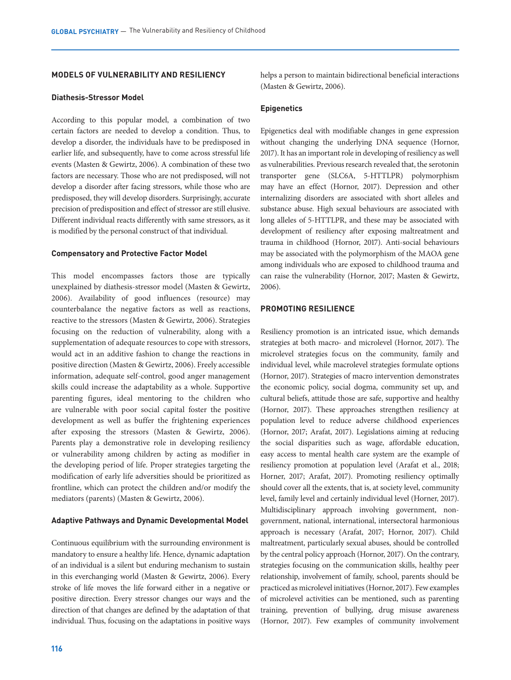## **MODELS OF VULNERABILITY AND RESILIENCY**

### **Diathesis-Stressor Model**

According to this popular model, a combination of two certain factors are needed to develop a condition. Thus, to develop a disorder, the individuals have to be predisposed in earlier life, and subsequently, have to come across stressful life events (Masten & Gewirtz, 2006). A combination of these two factors are necessary. Those who are not predisposed, will not develop a disorder after facing stressors, while those who are predisposed, they will develop disorders. Surprisingly, accurate precision of predisposition and effect of stressor are still elusive. Different individual reacts differently with same stressors, as it is modified by the personal construct of that individual.

#### **Compensatory and Protective Factor Model**

This model encompasses factors those are typically unexplained by diathesis-stressor model (Masten & Gewirtz, 2006). Availability of good influences (resource) may counterbalance the negative factors as well as reactions, reactive to the stressors (Masten & Gewirtz, 2006). Strategies focusing on the reduction of vulnerability, along with a supplementation of adequate resources to cope with stressors, would act in an additive fashion to change the reactions in positive direction (Masten & Gewirtz, 2006). Freely accessible information, adequate self-control, good anger management skills could increase the adaptability as a whole. Supportive parenting figures, ideal mentoring to the children who are vulnerable with poor social capital foster the positive development as well as buffer the frightening experiences after exposing the stressors (Masten & Gewirtz, 2006). Parents play a demonstrative role in developing resiliency or vulnerability among children by acting as modifier in the developing period of life. Proper strategies targeting the modification of early life adversities should be prioritized as frontline, which can protect the children and/or modify the mediators (parents) (Masten & Gewirtz, 2006).

#### **Adaptive Pathways and Dynamic Developmental Model**

Continuous equilibrium with the surrounding environment is mandatory to ensure a healthy life. Hence, dynamic adaptation of an individual is a silent but enduring mechanism to sustain in this everchanging world (Masten & Gewirtz, 2006). Every stroke of life moves the life forward either in a negative or positive direction. Every stressor changes our ways and the direction of that changes are defined by the adaptation of that individual. Thus, focusing on the adaptations in positive ways helps a person to maintain bidirectional beneficial interactions (Masten & Gewirtz, 2006).

#### **Epigenetics**

Epigenetics deal with modifiable changes in gene expression without changing the underlying DNA sequence (Hornor, 2017). It has an important role in developing of resiliency as well as vulnerabilities. Previous research revealed that, the serotonin transporter gene (SLC6A, 5-HTTLPR) polymorphism may have an effect (Hornor, 2017). Depression and other internalizing disorders are associated with short alleles and substance abuse. High sexual behaviours are associated with long alleles of 5-HTTLPR, and these may be associated with development of resiliency after exposing maltreatment and trauma in childhood (Hornor, 2017). Anti-social behaviours may be associated with the polymorphism of the MAOA gene among individuals who are exposed to childhood trauma and can raise the vulnerability (Hornor, 2017; Masten & Gewirtz, 2006).

## **PROMOTING RESILIENCE**

Resiliency promotion is an intricated issue, which demands strategies at both macro- and microlevel (Hornor, 2017). The microlevel strategies focus on the community, family and individual level, while macrolevel strategies formulate options (Hornor, 2017). Strategies of macro intervention demonstrates the economic policy, social dogma, community set up, and cultural beliefs, attitude those are safe, supportive and healthy (Hornor, 2017). These approaches strengthen resiliency at population level to reduce adverse childhood experiences (Hornor, 2017; Arafat, 2017). Legislations aiming at reducing the social disparities such as wage, affordable education, easy access to mental health care system are the example of resiliency promotion at population level (Arafat et al., 2018; Horner, 2017; Arafat, 2017). Promoting resiliency optimally should cover all the extents, that is, at society level, community level, family level and certainly individual level (Horner, 2017). Multidisciplinary approach involving government, nongovernment, national, international, intersectoral harmonious approach is necessary (Arafat, 2017; Hornor, 2017). Child maltreatment, particularly sexual abuses, should be controlled by the central policy approach (Hornor, 2017). On the contrary, strategies focusing on the communication skills, healthy peer relationship, involvement of family, school, parents should be practiced as microlevel initiatives (Hornor, 2017). Few examples of microlevel activities can be mentioned, such as parenting training, prevention of bullying, drug misuse awareness (Hornor, 2017). Few examples of community involvement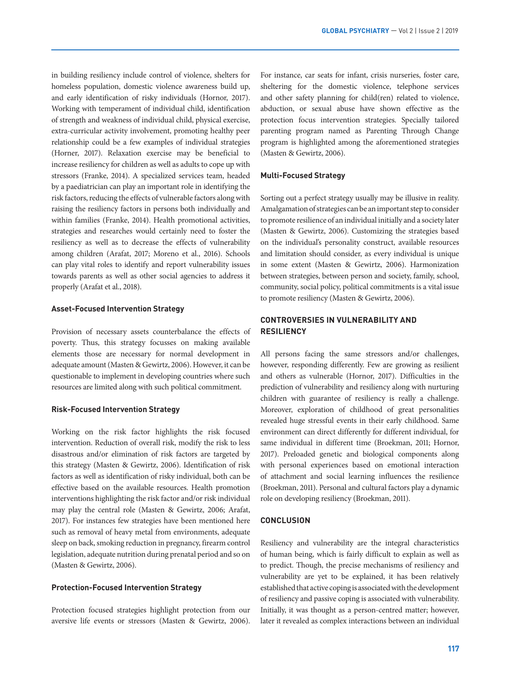in building resiliency include control of violence, shelters for homeless population, domestic violence awareness build up, and early identification of risky individuals (Hornor, 2017). Working with temperament of individual child, identification of strength and weakness of individual child, physical exercise, extra-curricular activity involvement, promoting healthy peer relationship could be a few examples of individual strategies (Horner, 2017). Relaxation exercise may be beneficial to increase resiliency for children as well as adults to cope up with stressors (Franke, 2014). A specialized services team, headed by a paediatrician can play an important role in identifying the risk factors, reducing the effects of vulnerable factors along with raising the resiliency factors in persons both individually and within families (Franke, 2014). Health promotional activities, strategies and researches would certainly need to foster the resiliency as well as to decrease the effects of vulnerability among children (Arafat, 2017; Moreno et al., 2016). Schools can play vital roles to identify and report vulnerability issues towards parents as well as other social agencies to address it properly (Arafat et al., 2018).

#### **Asset-Focused Intervention Strategy**

Provision of necessary assets counterbalance the effects of poverty. Thus, this strategy focusses on making available elements those are necessary for normal development in adequate amount (Masten & Gewirtz, 2006). However, it can be questionable to implement in developing countries where such resources are limited along with such political commitment.

## **Risk-Focused Intervention Strategy**

Working on the risk factor highlights the risk focused intervention. Reduction of overall risk, modify the risk to less disastrous and/or elimination of risk factors are targeted by this strategy (Masten & Gewirtz, 2006). Identification of risk factors as well as identification of risky individual, both can be effective based on the available resources. Health promotion interventions highlighting the risk factor and/or risk individual may play the central role (Masten & Gewirtz, 2006; Arafat, 2017). For instances few strategies have been mentioned here such as removal of heavy metal from environments, adequate sleep on back, smoking reduction in pregnancy, firearm control legislation, adequate nutrition during prenatal period and so on (Masten & Gewirtz, 2006).

### **Protection-Focused Intervention Strategy**

Protection focused strategies highlight protection from our aversive life events or stressors (Masten & Gewirtz, 2006).

For instance, car seats for infant, crisis nurseries, foster care, sheltering for the domestic violence, telephone services and other safety planning for child(ren) related to violence, abduction, or sexual abuse have shown effective as the protection focus intervention strategies. Specially tailored parenting program named as Parenting Through Change program is highlighted among the aforementioned strategies (Masten & Gewirtz, 2006).

#### **Multi-Focused Strategy**

Sorting out a perfect strategy usually may be illusive in reality. Amalgamation of strategies can be an important step to consider to promote resilience of an individual initially and a society later (Masten & Gewirtz, 2006). Customizing the strategies based on the individual's personality construct, available resources and limitation should consider, as every individual is unique in some extent (Masten & Gewirtz, 2006). Harmonization between strategies, between person and society, family, school, community, social policy, political commitments is a vital issue to promote resiliency (Masten & Gewirtz, 2006).

# **CONTROVERSIES IN VULNERABILITY AND RESILIENCY**

All persons facing the same stressors and/or challenges, however, responding differently. Few are growing as resilient and others as vulnerable (Hornor, 2017). Difficulties in the prediction of vulnerability and resiliency along with nurturing children with guarantee of resiliency is really a challenge. Moreover, exploration of childhood of great personalities revealed huge stressful events in their early childhood. Same environment can direct differently for different individual, for same individual in different time (Broekman, 2011; Hornor, 2017). Preloaded genetic and biological components along with personal experiences based on emotional interaction of attachment and social learning influences the resilience (Broekman, 2011). Personal and cultural factors play a dynamic role on developing resiliency (Broekman, 2011).

## **CONCLUSION**

Resiliency and vulnerability are the integral characteristics of human being, which is fairly difficult to explain as well as to predict. Though, the precise mechanisms of resiliency and vulnerability are yet to be explained, it has been relatively established that active coping is associated with the development of resiliency and passive coping is associated with vulnerability. Initially, it was thought as a person-centred matter; however, later it revealed as complex interactions between an individual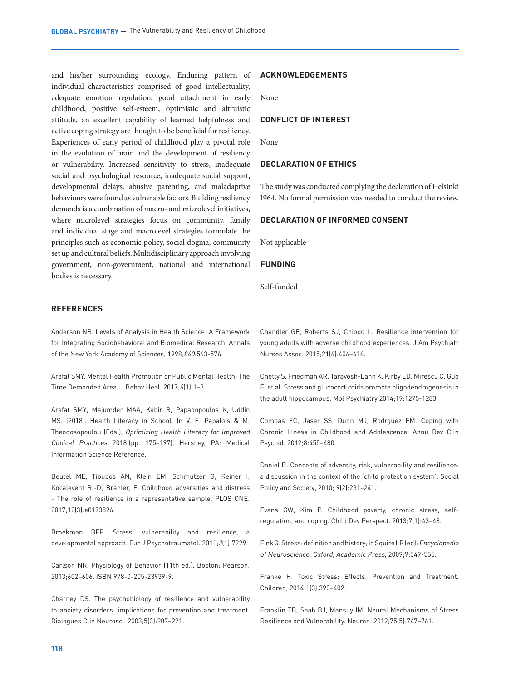and his/her surrounding ecology. Enduring pattern of individual characteristics comprised of good intellectuality, adequate emotion regulation, good attachment in early childhood, positive self-esteem, optimistic and altruistic attitude, an excellent capability of learned helpfulness and active coping strategy are thought to be beneficial for resiliency. Experiences of early period of childhood play a pivotal role in the evolution of brain and the development of resiliency or vulnerability. Increased sensitivity to stress, inadequate social and psychological resource, inadequate social support, developmental delays, abusive parenting, and maladaptive behaviours were found as vulnerable factors. Building resiliency demands is a combination of macro- and microlevel initiatives, where microlevel strategies focus on community, family and individual stage and macrolevel strategies formulate the principles such as economic policy, social dogma, community set up and cultural beliefs. Multidisciplinary approach involving government, non-government, national and international bodies is necessary.

#### **ACKNOWLEDGEMENTS**

None

## **CONFLICT OF INTEREST**

None

## **DECLARATION OF ETHICS**

The study was conducted complying the declaration of Helsinki 1964. No formal permission was needed to conduct the review.

### **DECLARATION OF INFORMED CONSENT**

Not applicable

## **FUNDING**

Self-funded

## **REFERENCES**

Anderson NB. Levels of Analysis in Health Science: A Framework for Integrating Sociobehavioral and Biomedical Research. Annals of the New York Academy of Sciences, 1998;840:563-576.

Arafat SMY. Mental Health Promotion or Public Mental Health: The Time Demanded Area. J Behav Heal. 2017;6(1):1–3.

Arafat SMY, Majumder MAA, Kabir R, Papadopoulos K, Uddin MS. (2018). Health Literacy in School. In V. E. Papalois & M. Theodosopoulou (Eds.), Optimizing Health Literacy for Improved Clinical Practices 2018;(pp. 175–197). Hershey, PA: Medical Information Science Reference.

Beutel ME, Tibubos AN, Klein EM, Schmutzer G, Reiner I, Kocalevent R.-D, Brähler, E. Childhood adversities and distress - The role of resilience in a representative sample. PLOS ONE. 2017;12(3):e0173826.

Broekman BFP. Stress, vulnerability and resilience, a developmental approach. Eur J Psychotraumatol. 2011;2(1):7229.

Carlson NR. Physiology of Behavior (11th ed.). Boston: Pearson. 2013;602–606. ISBN 978-0-205-23939-9.

Charney DS. The psychobiology of resilience and vulnerability to anxiety disorders: implications for prevention and treatment. Dialogues Clin Neurosci. 2003;5(3):207–221.

Chandler GE, Roberts SJ, Chiodo L. Resilience intervention for young adults with adverse childhood experiences. J Am Psychiatr Nurses Assoc. 2015;21(6):406–416.

Chetty S, Friedman AR, Taravosh-Lahn K, Kirby ED, Mirescu C, Guo F, et al. Stress and glucocorticoids promote oligodendrogenesis in the adult hippocampus. Mol Psychiatry 2014;19:1275-1283.

Compas EC, Jaser SS, Dunn MJ, Rodrguez EM. Coping with Chronic Illness in Childhood and Adolescence. Annu Rev Clin Psychol. 2012;8:455–480.

Daniel B. Concepts of adversity, risk, vulnerability and resilience: a discussion in the context of the 'child protection system'. Social Policy and Society, 2010; 9(2):231–241.

Evans GW, Kim P. Childhood poverty, chronic stress, selfregulation, and coping. Child Dev Perspect. 2013;7(1):43–48.

Fink G. Stress: definition and history; in Squire LR (ed): Encyclopedia of Neuroscience. Oxford, Academic Press, 2009;9:549-555.

Franke H. Toxic Stress: Effects, Prevention and Treatment. Children, 2014;1(3):390–402.

Franklin TB, Saab BJ, Mansuy IM. Neural Mechanisms of Stress Resilience and Vulnerability. Neuron. 2012;75(5):747–761.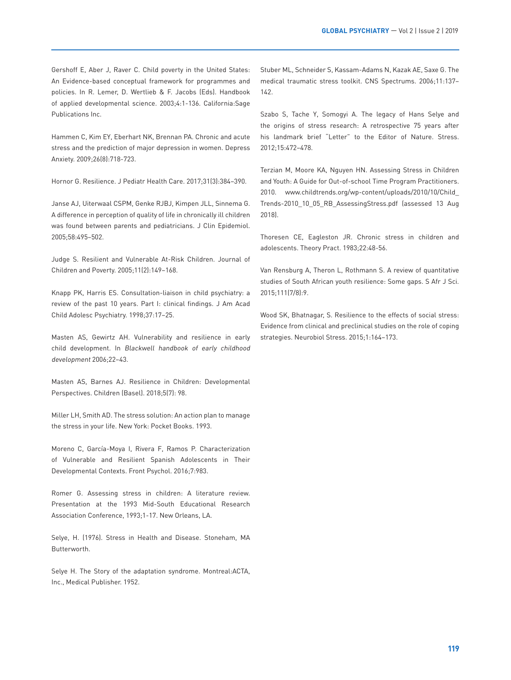Gershoff E, Aber J, Raver C. Child poverty in the United States: An Evidence-based conceptual framework for programmes and policies. In R. Lemer, D. Wertlieb & F. Jacobs (Eds). Handbook of applied developmental science. 2003;4:1-136. California:Sage Publications Inc.

Hammen C, Kim EY, Eberhart NK, Brennan PA. Chronic and acute stress and the prediction of major depression in women. Depress Anxiety. 2009;26(8):718-723.

Hornor G. Resilience. J Pediatr Health Care. 2017;31(3):384–390.

Janse AJ, Uiterwaal CSPM, Genke RJBJ, Kimpen JLL, Sinnema G. A difference in perception of quality of life in chronically ill children was found between parents and pediatricians. J Clin Epidemiol. 2005;58:495–502.

Judge S. Resilient and Vulnerable At-Risk Children. Journal of Children and Poverty. 2005;11(2):149–168.

Knapp PK, Harris ES. Consultation-liaison in child psychiatry: a review of the past 10 years. Part I: clinical findings. J Am Acad Child Adolesc Psychiatry. 1998;37:17–25.

Masten AS, Gewirtz AH. Vulnerability and resilience in early child development. In Blackwell handbook of early childhood development 2006;22–43.

Masten AS, Barnes AJ. Resilience in Children: Developmental Perspectives. Children (Basel). 2018;5(7): 98.

Miller LH, Smith AD. The stress solution: An action plan to manage the stress in your life. New York: Pocket Books. 1993.

Moreno C, García-Moya I, Rivera F, Ramos P. Characterization of Vulnerable and Resilient Spanish Adolescents in Their Developmental Contexts. Front Psychol. 2016;7:983.

Romer G. Assessing stress in children: A literature review. Presentation at the 1993 Mid-South Educational Research Association Conference, 1993;1-17. New Orleans, LA.

Selye, H. (1976). Stress in Health and Disease. Stoneham, MA Butterworth.

Selye H. The Story of the adaptation syndrome. Montreal:ACTA, Inc., Medical Publisher. 1952.

Stuber ML, Schneider S, Kassam-Adams N, Kazak AE, Saxe G. The medical traumatic stress toolkit. CNS Spectrums. 2006;11:137– 142.

Szabo S, Tache Y, Somogyi A. The legacy of Hans Selye and the origins of stress research: A retrospective 75 years after his landmark brief "Letter" to the Editor of Nature. Stress. 2012;15:472–478.

Terzian M, Moore KA, Nguyen HN. Assessing Stress in Children and Youth: A Guide for Out-of-school Time Program Practitioners. 2010. www.childtrends.org/wp-content/uploads/2010/10/Child\_ Trends-2010\_10\_05\_RB\_AssessingStress.pdf (assessed 13 Aug 2018).

Thoresen CE, Eagleston JR. Chronic stress in children and adolescents. Theory Pract. 1983;22:48-56.

Van Rensburg A, Theron L, Rothmann S. A review of quantitative studies of South African youth resilience: Some gaps. S Afr J Sci. 2015;111(7/8):9.

Wood SK, Bhatnagar, S. Resilience to the effects of social stress: Evidence from clinical and preclinical studies on the role of coping strategies. Neurobiol Stress. 2015;1:164–173.